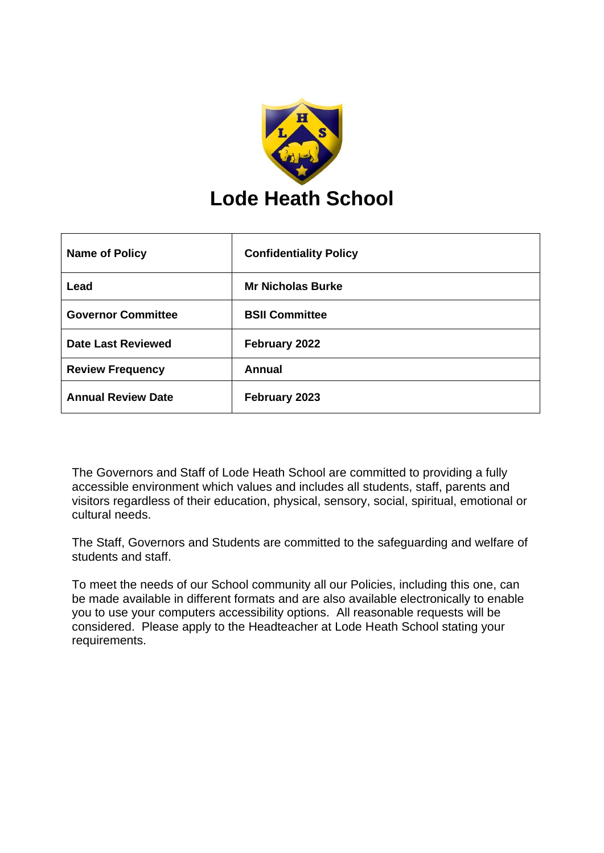

| <b>Name of Policy</b>     | <b>Confidentiality Policy</b> |
|---------------------------|-------------------------------|
| Lead                      | <b>Mr Nicholas Burke</b>      |
| <b>Governor Committee</b> | <b>BSII Committee</b>         |
| <b>Date Last Reviewed</b> | February 2022                 |
| <b>Review Frequency</b>   | <b>Annual</b>                 |
| <b>Annual Review Date</b> | February 2023                 |

The Governors and Staff of Lode Heath School are committed to providing a fully accessible environment which values and includes all students, staff, parents and visitors regardless of their education, physical, sensory, social, spiritual, emotional or cultural needs.

The Staff, Governors and Students are committed to the safeguarding and welfare of students and staff.

To meet the needs of our School community all our Policies, including this one, can be made available in different formats and are also available electronically to enable you to use your computers accessibility options. All reasonable requests will be considered. Please apply to the Headteacher at Lode Heath School stating your requirements.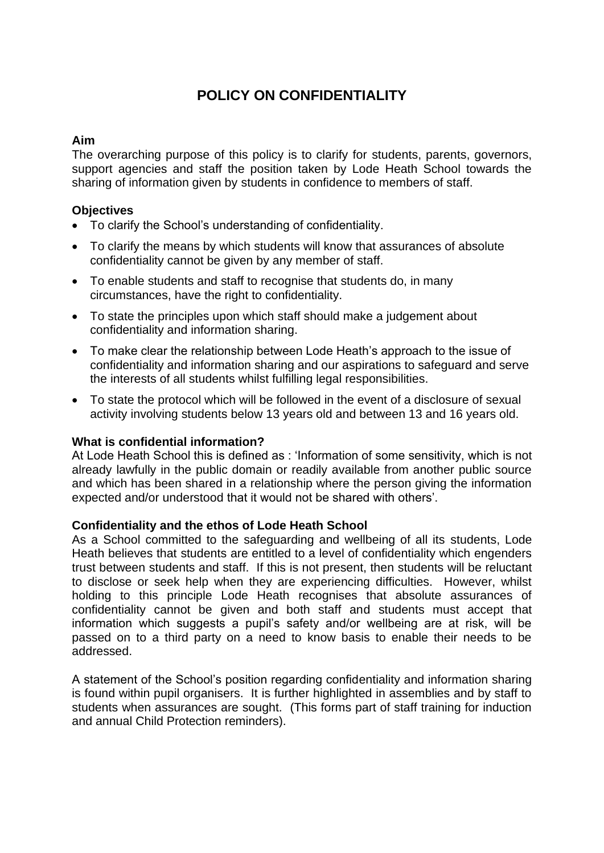# **POLICY ON CONFIDENTIALITY**

# **Aim**

The overarching purpose of this policy is to clarify for students, parents, governors, support agencies and staff the position taken by Lode Heath School towards the sharing of information given by students in confidence to members of staff.

## **Objectives**

- To clarify the School's understanding of confidentiality.
- To clarify the means by which students will know that assurances of absolute confidentiality cannot be given by any member of staff.
- To enable students and staff to recognise that students do, in many circumstances, have the right to confidentiality.
- To state the principles upon which staff should make a judgement about confidentiality and information sharing.
- To make clear the relationship between Lode Heath's approach to the issue of confidentiality and information sharing and our aspirations to safeguard and serve the interests of all students whilst fulfilling legal responsibilities.
- To state the protocol which will be followed in the event of a disclosure of sexual activity involving students below 13 years old and between 13 and 16 years old.

## **What is confidential information?**

At Lode Heath School this is defined as : 'Information of some sensitivity, which is not already lawfully in the public domain or readily available from another public source and which has been shared in a relationship where the person giving the information expected and/or understood that it would not be shared with others'.

## **Confidentiality and the ethos of Lode Heath School**

As a School committed to the safeguarding and wellbeing of all its students, Lode Heath believes that students are entitled to a level of confidentiality which engenders trust between students and staff. If this is not present, then students will be reluctant to disclose or seek help when they are experiencing difficulties. However, whilst holding to this principle Lode Heath recognises that absolute assurances of confidentiality cannot be given and both staff and students must accept that information which suggests a pupil's safety and/or wellbeing are at risk, will be passed on to a third party on a need to know basis to enable their needs to be addressed.

A statement of the School's position regarding confidentiality and information sharing is found within pupil organisers. It is further highlighted in assemblies and by staff to students when assurances are sought. (This forms part of staff training for induction and annual Child Protection reminders).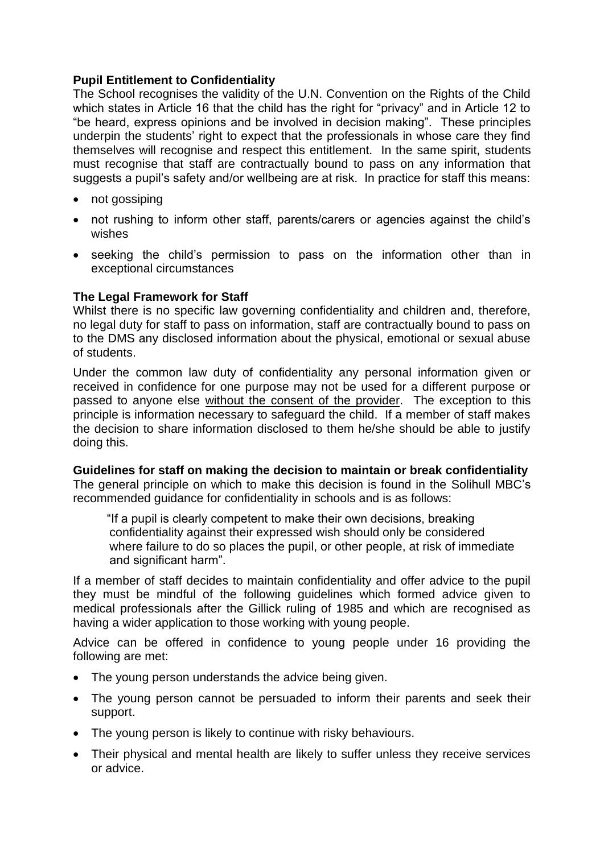# **Pupil Entitlement to Confidentiality**

The School recognises the validity of the U.N. Convention on the Rights of the Child which states in Article 16 that the child has the right for "privacy" and in Article 12 to "be heard, express opinions and be involved in decision making". These principles underpin the students' right to expect that the professionals in whose care they find themselves will recognise and respect this entitlement. In the same spirit, students must recognise that staff are contractually bound to pass on any information that suggests a pupil's safety and/or wellbeing are at risk. In practice for staff this means:

- not gossiping
- not rushing to inform other staff, parents/carers or agencies against the child's wishes
- seeking the child's permission to pass on the information other than in exceptional circumstances

# **The Legal Framework for Staff**

Whilst there is no specific law governing confidentiality and children and, therefore, no legal duty for staff to pass on information, staff are contractually bound to pass on to the DMS any disclosed information about the physical, emotional or sexual abuse of students.

Under the common law duty of confidentiality any personal information given or received in confidence for one purpose may not be used for a different purpose or passed to anyone else without the consent of the provider. The exception to this principle is information necessary to safeguard the child. If a member of staff makes the decision to share information disclosed to them he/she should be able to justify doing this.

## **Guidelines for staff on making the decision to maintain or break confidentiality**

The general principle on which to make this decision is found in the Solihull MBC's recommended guidance for confidentiality in schools and is as follows:

 "If a pupil is clearly competent to make their own decisions, breaking confidentiality against their expressed wish should only be considered where failure to do so places the pupil, or other people, at risk of immediate and significant harm".

If a member of staff decides to maintain confidentiality and offer advice to the pupil they must be mindful of the following guidelines which formed advice given to medical professionals after the Gillick ruling of 1985 and which are recognised as having a wider application to those working with young people.

Advice can be offered in confidence to young people under 16 providing the following are met:

- The young person understands the advice being given.
- The young person cannot be persuaded to inform their parents and seek their support.
- The young person is likely to continue with risky behaviours.
- Their physical and mental health are likely to suffer unless they receive services or advice.